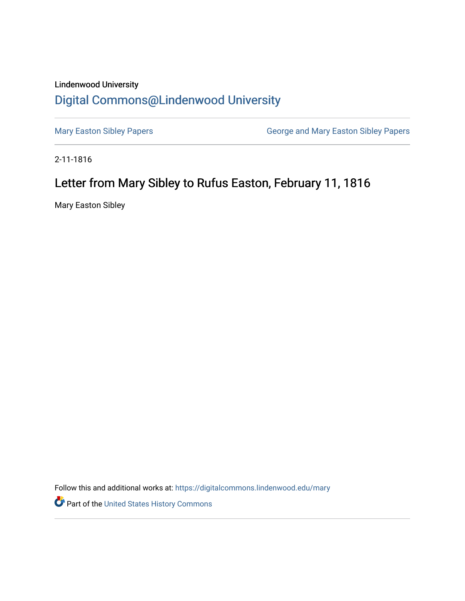## Lindenwood University [Digital Commons@Lindenwood University](https://digitalcommons.lindenwood.edu/)

[Mary Easton Sibley Papers](https://digitalcommons.lindenwood.edu/mary) **George and Mary Easton Sibley Papers** George and Mary Easton Sibley Papers

2-11-1816

## Letter from Mary Sibley to Rufus Easton, February 11, 1816

Mary Easton Sibley

Follow this and additional works at: [https://digitalcommons.lindenwood.edu/mary](https://digitalcommons.lindenwood.edu/mary?utm_source=digitalcommons.lindenwood.edu%2Fmary%2F23&utm_medium=PDF&utm_campaign=PDFCoverPages) 

Part of the [United States History Commons](http://network.bepress.com/hgg/discipline/495?utm_source=digitalcommons.lindenwood.edu%2Fmary%2F23&utm_medium=PDF&utm_campaign=PDFCoverPages)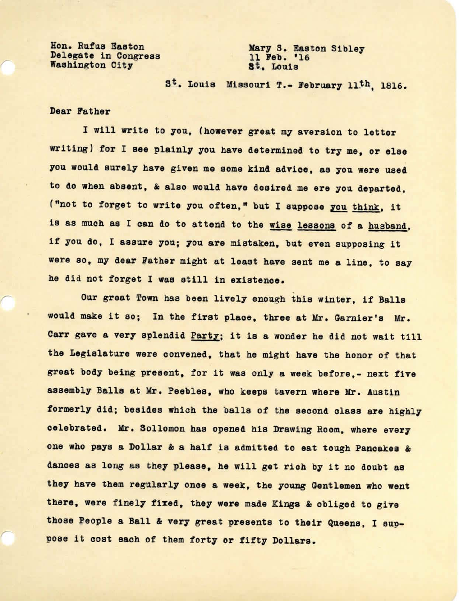Hon. Rufus Easton Delegate in Congress Washington City

Marys. Easton Sibley 11 **Peb.** '16 **at ..** Louis

S<sup>t</sup>. Louis Missouri T.- February 11<sup>th</sup>, 1816.

## Dear Pather

*r* 

I will write to you, (however great my aversion to letter writing) for I see plainly you have determined to try me, or else you would surely have given me some kind advice, as you were used to do when absent, & also would have desired me ere you departed, *("not* to forget to write you often," but I suppose zou think, it is as much as I can do to attend to the wise lessons of a husband, if you do, I assure you; you are mistaken, but even supposing it were so, my dear Father might at least have sent me a line, to say he did not forget I was still in existence.

Our great Town has been lively enough this winter, if Balla would make it so; In the first place, three at Mr. Garnier's Mr. Carr gave a very splendid Party; it is a wonder he did not wait till the Legislature **were** convened, that he might have the honor of that great body being present, for it was only a week before,- next five assembly Balls at Mr. Peebles, who keeps tavern where Mr. Austin formerly did; besides which the balls of the second class are highly celebrated. Mr. Sollomon has opened his Drawing Room, where every one who pays a Dollar & a half is admitted to eat tough Pancakes & dances as long as they please, he will get rich by it no doubt as they have them regularly onoe a week, the young Gentlemen who **went**  there, were finely fixed, they **were** made Kings & obliged to give those People a Ball & very great presents to their Queens, I suppose it cost each of them forty or fifty Dollars.